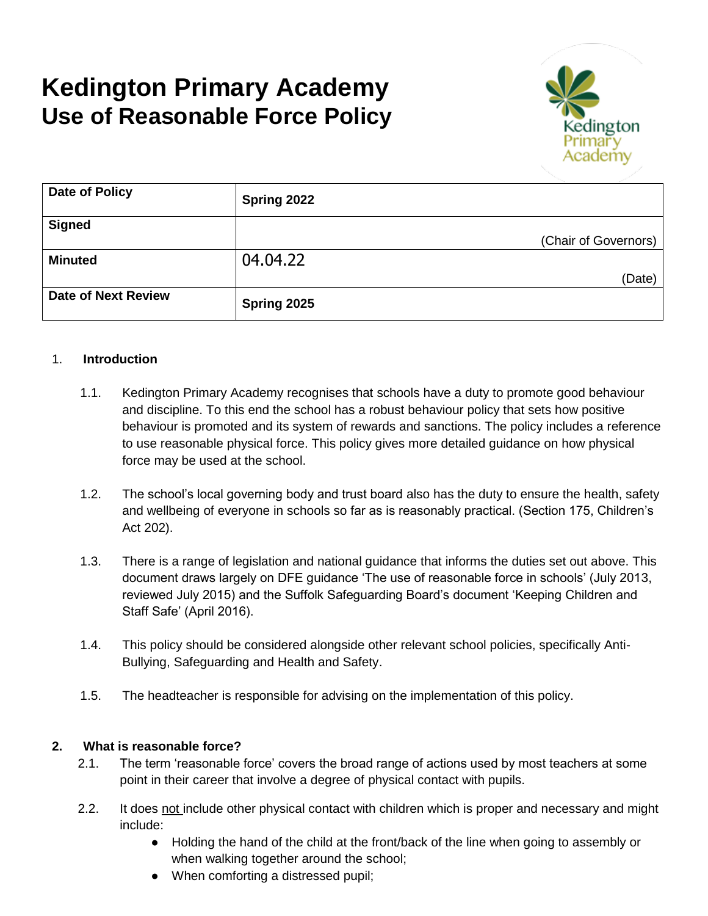# **Kedington Primary Academy Use of Reasonable Force Policy**



| Date of Policy             | Spring 2022 |                      |
|----------------------------|-------------|----------------------|
| <b>Signed</b>              |             |                      |
|                            |             | (Chair of Governors) |
| <b>Minuted</b>             | 04.04.22    |                      |
|                            |             | (Date)               |
| <b>Date of Next Review</b> | Spring 2025 |                      |

#### 1. **Introduction**

- 1.1. Kedington Primary Academy recognises that schools have a duty to promote good behaviour and discipline. To this end the school has a robust behaviour policy that sets how positive behaviour is promoted and its system of rewards and sanctions. The policy includes a reference to use reasonable physical force. This policy gives more detailed guidance on how physical force may be used at the school.
- 1.2. The school's local governing body and trust board also has the duty to ensure the health, safety and wellbeing of everyone in schools so far as is reasonably practical. (Section 175, Children's Act 202).
- 1.3. There is a range of legislation and national guidance that informs the duties set out above. This document draws largely on DFE guidance 'The use of reasonable force in schools' (July 2013, reviewed July 2015) and the Suffolk Safeguarding Board's document 'Keeping Children and Staff Safe' (April 2016).
- 1.4. This policy should be considered alongside other relevant school policies, specifically Anti-Bullying, Safeguarding and Health and Safety.
- 1.5. The headteacher is responsible for advising on the implementation of this policy.

#### **2. What is reasonable force?**

- 2.1. The term 'reasonable force' covers the broad range of actions used by most teachers at some point in their career that involve a degree of physical contact with pupils.
- 2.2. It does not include other physical contact with children which is proper and necessary and might include:
	- Holding the hand of the child at the front/back of the line when going to assembly or when walking together around the school;
	- When comforting a distressed pupil;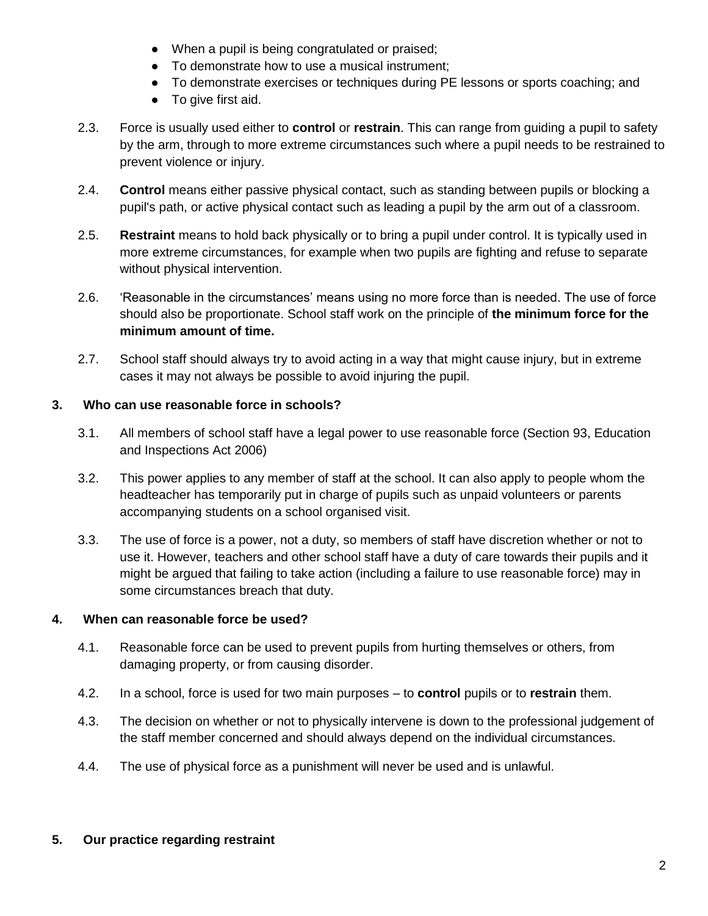- When a pupil is being congratulated or praised;
- To demonstrate how to use a musical instrument;
- To demonstrate exercises or techniques during PE lessons or sports coaching; and
- To give first aid.
- 2.3. Force is usually used either to **control** or **restrain**. This can range from guiding a pupil to safety by the arm, through to more extreme circumstances such where a pupil needs to be restrained to prevent violence or injury.
- 2.4. **Control** means either passive physical contact, such as standing between pupils or blocking a pupil's path, or active physical contact such as leading a pupil by the arm out of a classroom.
- 2.5. **Restraint** means to hold back physically or to bring a pupil under control. It is typically used in more extreme circumstances, for example when two pupils are fighting and refuse to separate without physical intervention.
- 2.6. 'Reasonable in the circumstances' means using no more force than is needed. The use of force should also be proportionate. School staff work on the principle of **the minimum force for the minimum amount of time.**
- 2.7. School staff should always try to avoid acting in a way that might cause injury, but in extreme cases it may not always be possible to avoid injuring the pupil.

## **3. Who can use reasonable force in schools?**

- 3.1. All members of school staff have a legal power to use reasonable force (Section 93, Education and Inspections Act 2006)
- 3.2. This power applies to any member of staff at the school. It can also apply to people whom the headteacher has temporarily put in charge of pupils such as unpaid volunteers or parents accompanying students on a school organised visit.
- 3.3. The use of force is a power, not a duty, so members of staff have discretion whether or not to use it. However, teachers and other school staff have a duty of care towards their pupils and it might be argued that failing to take action (including a failure to use reasonable force) may in some circumstances breach that duty.

## **4. When can reasonable force be used?**

- 4.1. Reasonable force can be used to prevent pupils from hurting themselves or others, from damaging property, or from causing disorder.
- 4.2. In a school, force is used for two main purposes to **control** pupils or to **restrain** them.
- 4.3. The decision on whether or not to physically intervene is down to the professional judgement of the staff member concerned and should always depend on the individual circumstances.
- 4.4. The use of physical force as a punishment will never be used and is unlawful.

## **5. Our practice regarding restraint**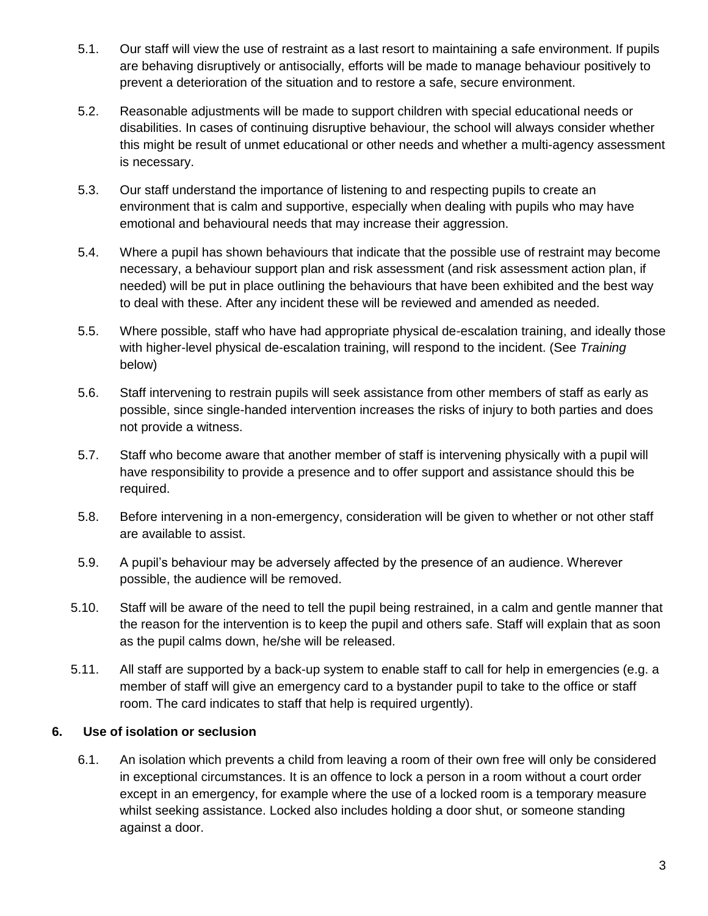- 5.1. Our staff will view the use of restraint as a last resort to maintaining a safe environment. If pupils are behaving disruptively or antisocially, efforts will be made to manage behaviour positively to prevent a deterioration of the situation and to restore a safe, secure environment.
- 5.2. Reasonable adjustments will be made to support children with special educational needs or disabilities. In cases of continuing disruptive behaviour, the school will always consider whether this might be result of unmet educational or other needs and whether a multi-agency assessment is necessary.
- 5.3. Our staff understand the importance of listening to and respecting pupils to create an environment that is calm and supportive, especially when dealing with pupils who may have emotional and behavioural needs that may increase their aggression.
- 5.4. Where a pupil has shown behaviours that indicate that the possible use of restraint may become necessary, a behaviour support plan and risk assessment (and risk assessment action plan, if needed) will be put in place outlining the behaviours that have been exhibited and the best way to deal with these. After any incident these will be reviewed and amended as needed.
- 5.5. Where possible, staff who have had appropriate physical de-escalation training, and ideally those with higher-level physical de-escalation training, will respond to the incident. (See *Training*  below)
- 5.6. Staff intervening to restrain pupils will seek assistance from other members of staff as early as possible, since single-handed intervention increases the risks of injury to both parties and does not provide a witness.
- 5.7. Staff who become aware that another member of staff is intervening physically with a pupil will have responsibility to provide a presence and to offer support and assistance should this be required.
- 5.8. Before intervening in a non-emergency, consideration will be given to whether or not other staff are available to assist.
- 5.9. A pupil's behaviour may be adversely affected by the presence of an audience. Wherever possible, the audience will be removed.
- 5.10. Staff will be aware of the need to tell the pupil being restrained, in a calm and gentle manner that the reason for the intervention is to keep the pupil and others safe. Staff will explain that as soon as the pupil calms down, he/she will be released.
- 5.11. All staff are supported by a back-up system to enable staff to call for help in emergencies (e.g. a member of staff will give an emergency card to a bystander pupil to take to the office or staff room. The card indicates to staff that help is required urgently).

## **6. Use of isolation or seclusion**

6.1. An isolation which prevents a child from leaving a room of their own free will only be considered in exceptional circumstances. It is an offence to lock a person in a room without a court order except in an emergency, for example where the use of a locked room is a temporary measure whilst seeking assistance. Locked also includes holding a door shut, or someone standing against a door.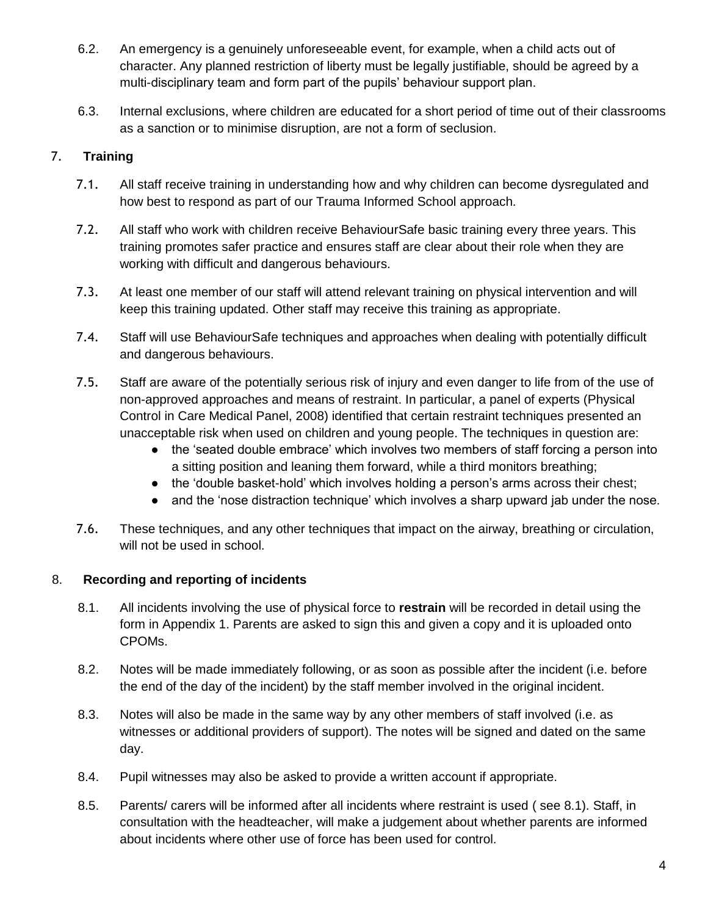- 6.2. An emergency is a genuinely unforeseeable event, for example, when a child acts out of character. Any planned restriction of liberty must be legally justifiable, should be agreed by a multi-disciplinary team and form part of the pupils' behaviour support plan.
- 6.3. Internal exclusions, where children are educated for a short period of time out of their classrooms as a sanction or to minimise disruption, are not a form of seclusion.

# 7. **Training**

- 7.1. All staff receive training in understanding how and why children can become dysregulated and how best to respond as part of our Trauma Informed School approach.
- 7.2. All staff who work with children receive BehaviourSafe basic training every three years. This training promotes safer practice and ensures staff are clear about their role when they are working with difficult and dangerous behaviours.
- 7.3. At least one member of our staff will attend relevant training on physical intervention and will keep this training updated. Other staff may receive this training as appropriate.
- 7.4. Staff will use BehaviourSafe techniques and approaches when dealing with potentially difficult and dangerous behaviours.
- 7.5. Staff are aware of the potentially serious risk of injury and even danger to life from of the use of non-approved approaches and means of restraint. In particular, a panel of experts (Physical Control in Care Medical Panel, 2008) identified that certain restraint techniques presented an unacceptable risk when used on children and young people. The techniques in question are:
	- the 'seated double embrace' which involves two members of staff forcing a person into a sitting position and leaning them forward, while a third monitors breathing;
	- the 'double basket-hold' which involves holding a person's arms across their chest;
	- and the 'nose distraction technique' which involves a sharp upward jab under the nose.
- 7.6. These techniques, and any other techniques that impact on the airway, breathing or circulation, will not be used in school.

## 8. **Recording and reporting of incidents**

- 8.1. All incidents involving the use of physical force to **restrain** will be recorded in detail using the form in Appendix 1. Parents are asked to sign this and given a copy and it is uploaded onto CPOMs.
- 8.2. Notes will be made immediately following, or as soon as possible after the incident (i.e. before the end of the day of the incident) by the staff member involved in the original incident.
- 8.3. Notes will also be made in the same way by any other members of staff involved (i.e. as witnesses or additional providers of support). The notes will be signed and dated on the same day.
- 8.4. Pupil witnesses may also be asked to provide a written account if appropriate.
- 8.5. Parents/ carers will be informed after all incidents where restraint is used ( see 8.1). Staff, in consultation with the headteacher, will make a judgement about whether parents are informed about incidents where other use of force has been used for control.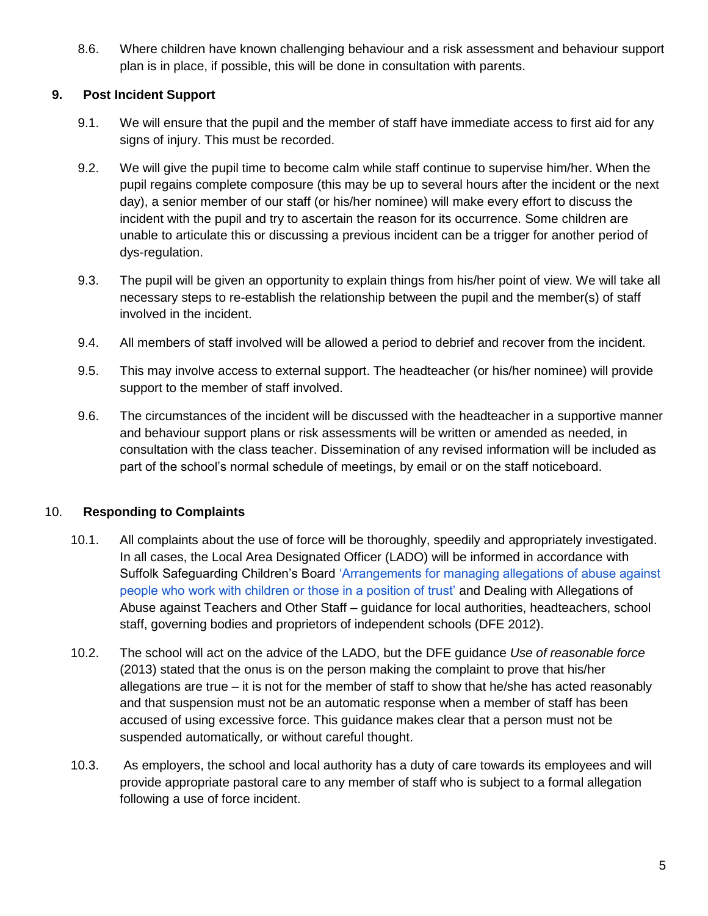8.6. Where children have known challenging behaviour and a risk assessment and behaviour support plan is in place, if possible, this will be done in consultation with parents.

## **9. Post Incident Support**

- 9.1. We will ensure that the pupil and the member of staff have immediate access to first aid for any signs of injury. This must be recorded.
- 9.2. We will give the pupil time to become calm while staff continue to supervise him/her. When the pupil regains complete composure (this may be up to several hours after the incident or the next day), a senior member of our staff (or his/her nominee) will make every effort to discuss the incident with the pupil and try to ascertain the reason for its occurrence. Some children are unable to articulate this or discussing a previous incident can be a trigger for another period of dys-regulation.
- 9.3. The pupil will be given an opportunity to explain things from his/her point of view. We will take all necessary steps to re-establish the relationship between the pupil and the member(s) of staff involved in the incident.
- 9.4. All members of staff involved will be allowed a period to debrief and recover from the incident.
- 9.5. This may involve access to external support. The headteacher (or his/her nominee) will provide support to the member of staff involved.
- 9.6. The circumstances of the incident will be discussed with the headteacher in a supportive manner and behaviour support plans or risk assessments will be written or amended as needed, in consultation with the class teacher. Dissemination of any revised information will be included as part of the school's normal schedule of meetings, by email or on the staff noticeboard.

## 10. **Responding to Complaints**

- 10.1. All complaints about the use of force will be thoroughly, speedily and appropriately investigated. In all cases, the Local Area Designated Officer (LADO) will be informed in accordance with Suffolk Safeguarding Children's Boar[d](http://suffolkscb.org.uk/procedures/SearchForm?Search=managing+allegations&action_resulthttp://suffolkscb.org.uk/procedures/SearchForm?Search=manahttp://suffolkscb.org.uk/procedures/SearchForm?Search=managing+allegations&action_results=Searchging+allegations&action_results=Searchs=Search) ['Arrangements for managing allegations of abuse against](http://suffolkscb.org.uk/procedures/SearchForm?Search=managing+allegations&action_resulthttp://suffolkscb.org.uk/procedures/SearchForm?Search=manahttp://suffolkscb.org.uk/procedures/SearchForm?Search=managing+allegations&action_results=Searchging+allegations&action_results=Searchs=Search)  [people who work with children or those in a position of trust'](http://suffolkscb.org.uk/procedures/SearchForm?Search=managing+allegations&action_resulthttp://suffolkscb.org.uk/procedures/SearchForm?Search=manahttp://suffolkscb.org.uk/procedures/SearchForm?Search=managing+allegations&action_results=Searchging+allegations&action_results=Searchs=Search) and Dealing with Allegations of Abuse against Teachers and Other Staff – guidance for local authorities, headteachers, school staff, governing bodies and proprietors of independent schools (DFE 2012).
- 10.2. The school will act on the advice of the LADO, but the DFE guidance *Use of reasonable force*  (2013) stated that the onus is on the person making the complaint to prove that his/her allegations are true – it is not for the member of staff to show that he/she has acted reasonably and that suspension must not be an automatic response when a member of staff has been accused of using excessive force. This guidance makes clear that a person must not be suspended automatically*,* or without careful thought.
- 10.3. As employers, the school and local authority has a duty of care towards its employees and will provide appropriate pastoral care to any member of staff who is subject to a formal allegation following a use of force incident.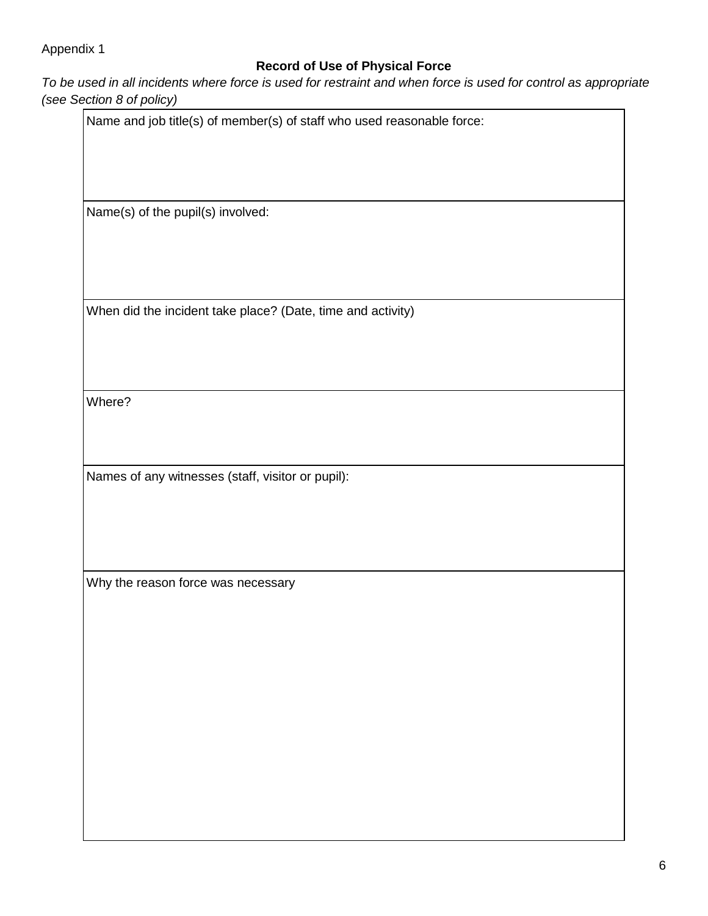# Appendix 1

# **Record of Use of Physical Force**

*To be used in all incidents where force is used for restraint and when force is used for control as appropriate (see Section)* 

| Section 8 of policy)                              |                                                                        |  |
|---------------------------------------------------|------------------------------------------------------------------------|--|
|                                                   | Name and job title(s) of member(s) of staff who used reasonable force: |  |
|                                                   |                                                                        |  |
| Name(s) of the pupil(s) involved:                 |                                                                        |  |
|                                                   |                                                                        |  |
|                                                   |                                                                        |  |
|                                                   | When did the incident take place? (Date, time and activity)            |  |
|                                                   |                                                                        |  |
| Where?                                            |                                                                        |  |
|                                                   |                                                                        |  |
| Names of any witnesses (staff, visitor or pupil): |                                                                        |  |
|                                                   |                                                                        |  |
|                                                   |                                                                        |  |
| Why the reason force was necessary                |                                                                        |  |
|                                                   |                                                                        |  |
|                                                   |                                                                        |  |
|                                                   |                                                                        |  |
|                                                   |                                                                        |  |
|                                                   |                                                                        |  |
|                                                   |                                                                        |  |